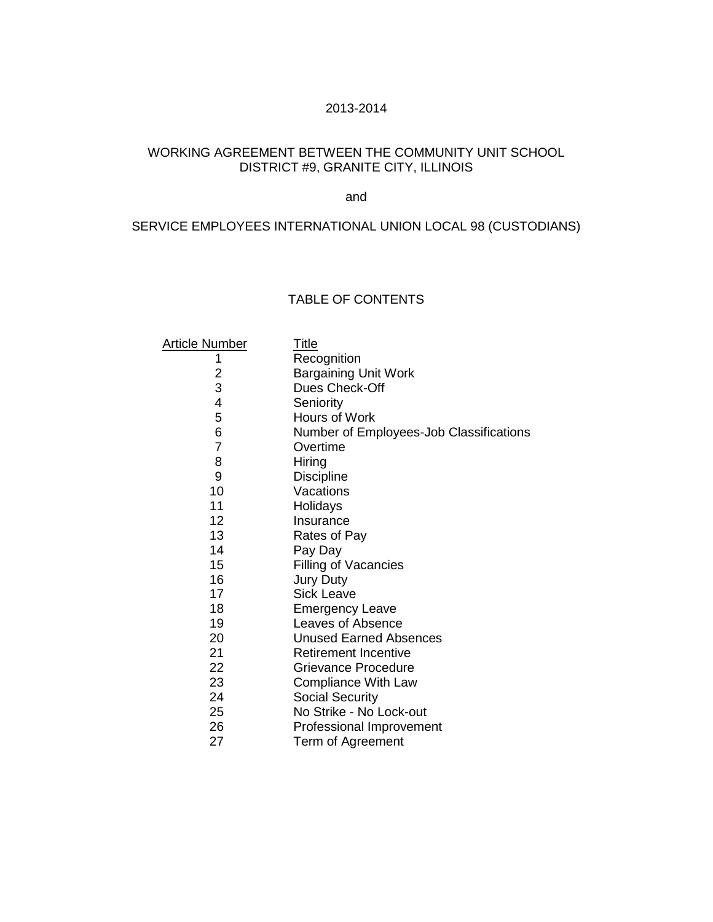### 2013-2014

# WORKING AGREEMENT BETWEEN THE COMMUNITY UNIT SCHOOL DISTRICT #9, GRANITE CITY, ILLINOIS

### and

# SERVICE EMPLOYEES INTERNATIONAL UNION LOCAL 98 (CUSTODIANS)

### TABLE OF CONTENTS

| Article Number          | <u>Title</u>                            |
|-------------------------|-----------------------------------------|
| 1                       | Recognition                             |
| $\overline{\mathbf{c}}$ | <b>Bargaining Unit Work</b>             |
| 3                       | Dues Check-Off                          |
| 4                       | Seniority                               |
| 5                       | Hours of Work                           |
| 6                       | Number of Employees-Job Classifications |
| $\overline{7}$          | Overtime                                |
| 8                       | Hiring                                  |
| 9                       | <b>Discipline</b>                       |
| 10                      | Vacations                               |
| 11                      | Holidays                                |
| 12                      | Insurance                               |
| 13                      | Rates of Pay                            |
| 14                      | Pay Day                                 |
| 15                      | Filling of Vacancies                    |
| 16                      | <b>Jury Duty</b>                        |
| 17                      | Sick Leave                              |
| 18                      | <b>Emergency Leave</b>                  |
| 19                      | Leaves of Absence                       |
| 20                      | <b>Unused Earned Absences</b>           |
| 21                      | <b>Retirement Incentive</b>             |
| 22                      | Grievance Procedure                     |
| 23                      | Compliance With Law                     |
| 24                      | <b>Social Security</b>                  |
| 25                      | No Strike - No Lock-out                 |
| 26                      | Professional Improvement                |
| 27                      | Term of Agreement                       |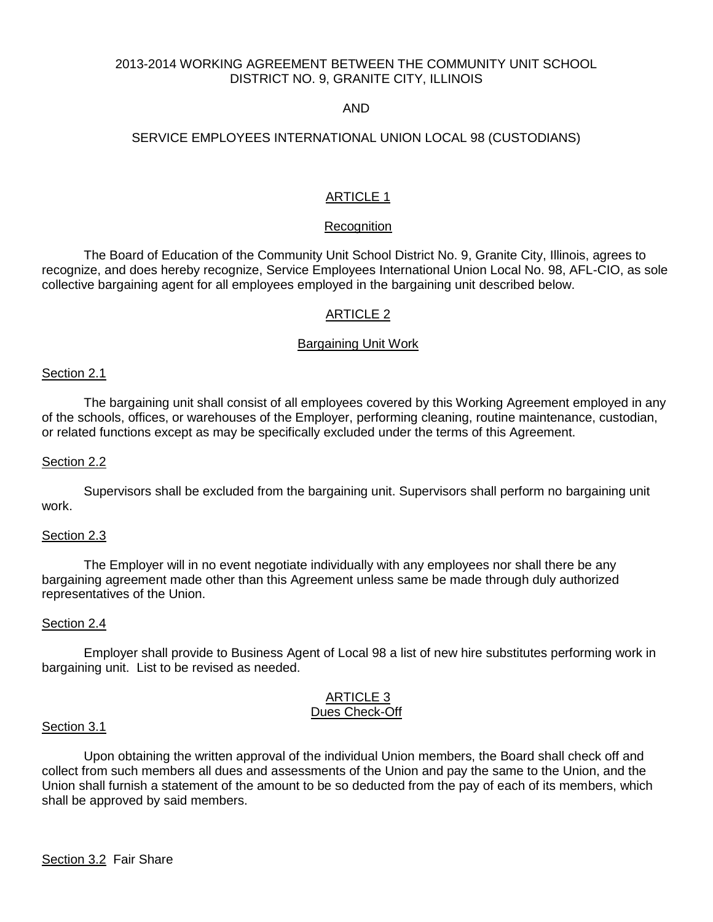### 2013-2014 WORKING AGREEMENT BETWEEN THE COMMUNITY UNIT SCHOOL DISTRICT NO. 9, GRANITE CITY, ILLINOIS

### AND

# SERVICE EMPLOYEES INTERNATIONAL UNION LOCAL 98 (CUSTODIANS)

# ARTICLE 1

#### **Recognition**

The Board of Education of the Community Unit School District No. 9, Granite City, Illinois, agrees to recognize, and does hereby recognize, Service Employees International Union Local No. 98, AFL-CIO, as sole collective bargaining agent for all employees employed in the bargaining unit described below.

### ARTICLE 2

#### Bargaining Unit Work

#### Section 2.1

 The bargaining unit shall consist of all employees covered by this Working Agreement employed in any of the schools, offices, or warehouses of the Employer, performing cleaning, routine maintenance, custodian, or related functions except as may be specifically excluded under the terms of this Agreement.

#### Section 2.2

 Supervisors shall be excluded from the bargaining unit. Supervisors shall perform no bargaining unit work.

#### Section 2.3

 The Employer will in no event negotiate individually with any employees nor shall there be any bargaining agreement made other than this Agreement unless same be made through duly authorized representatives of the Union.

#### Section 2.4

Employer shall provide to Business Agent of Local 98 a list of new hire substitutes performing work in bargaining unit. List to be revised as needed.

#### ARTICLE 3 Dues Check-Off

#### Section 3.1

Upon obtaining the written approval of the individual Union members, the Board shall check off and collect from such members all dues and assessments of the Union and pay the same to the Union, and the Union shall furnish a statement of the amount to be so deducted from the pay of each of its members, which shall be approved by said members.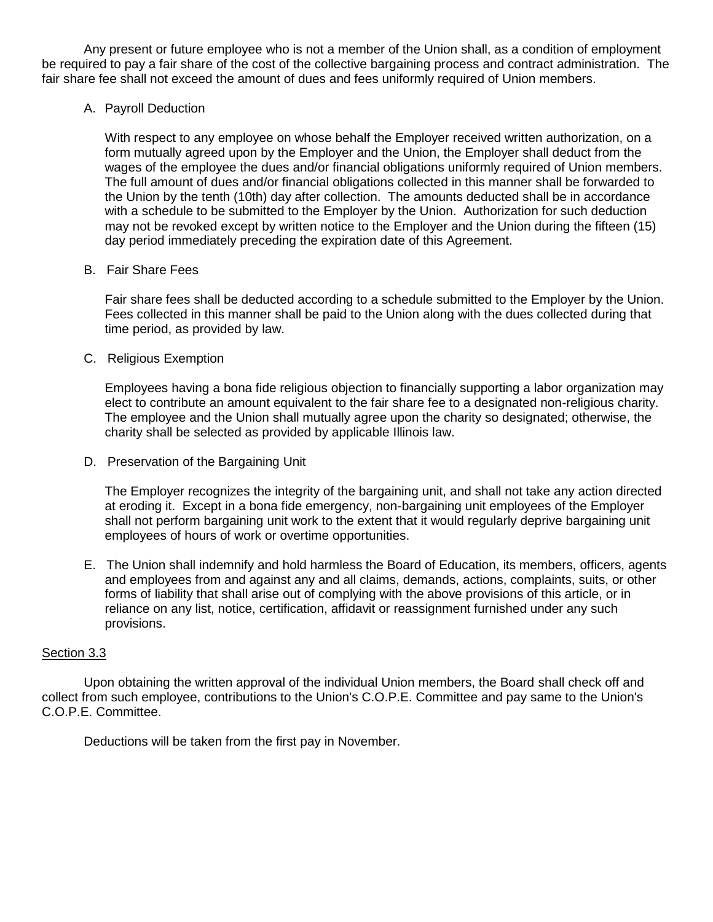Any present or future employee who is not a member of the Union shall, as a condition of employment be required to pay a fair share of the cost of the collective bargaining process and contract administration. The fair share fee shall not exceed the amount of dues and fees uniformly required of Union members.

A. Payroll Deduction

 With respect to any employee on whose behalf the Employer received written authorization, on a form mutually agreed upon by the Employer and the Union, the Employer shall deduct from the wages of the employee the dues and/or financial obligations uniformly required of Union members. The full amount of dues and/or financial obligations collected in this manner shall be forwarded to the Union by the tenth (10th) day after collection. The amounts deducted shall be in accordance with a schedule to be submitted to the Employer by the Union. Authorization for such deduction may not be revoked except by written notice to the Employer and the Union during the fifteen (15) day period immediately preceding the expiration date of this Agreement.

B. Fair Share Fees

Fair share fees shall be deducted according to a schedule submitted to the Employer by the Union. Fees collected in this manner shall be paid to the Union along with the dues collected during that time period, as provided by law.

C. Religious Exemption

Employees having a bona fide religious objection to financially supporting a labor organization may elect to contribute an amount equivalent to the fair share fee to a designated non-religious charity. The employee and the Union shall mutually agree upon the charity so designated; otherwise, the charity shall be selected as provided by applicable Illinois law.

D. Preservation of the Bargaining Unit

The Employer recognizes the integrity of the bargaining unit, and shall not take any action directed at eroding it. Except in a bona fide emergency, non-bargaining unit employees of the Employer shall not perform bargaining unit work to the extent that it would regularly deprive bargaining unit employees of hours of work or overtime opportunities.

E. The Union shall indemnify and hold harmless the Board of Education, its members, officers, agents and employees from and against any and all claims, demands, actions, complaints, suits, or other forms of liability that shall arise out of complying with the above provisions of this article, or in reliance on any list, notice, certification, affidavit or reassignment furnished under any such provisions.

### Section 3.3

Upon obtaining the written approval of the individual Union members, the Board shall check off and collect from such employee, contributions to the Union's C.O.P.E. Committee and pay same to the Union's C.O.P.E. Committee.

Deductions will be taken from the first pay in November.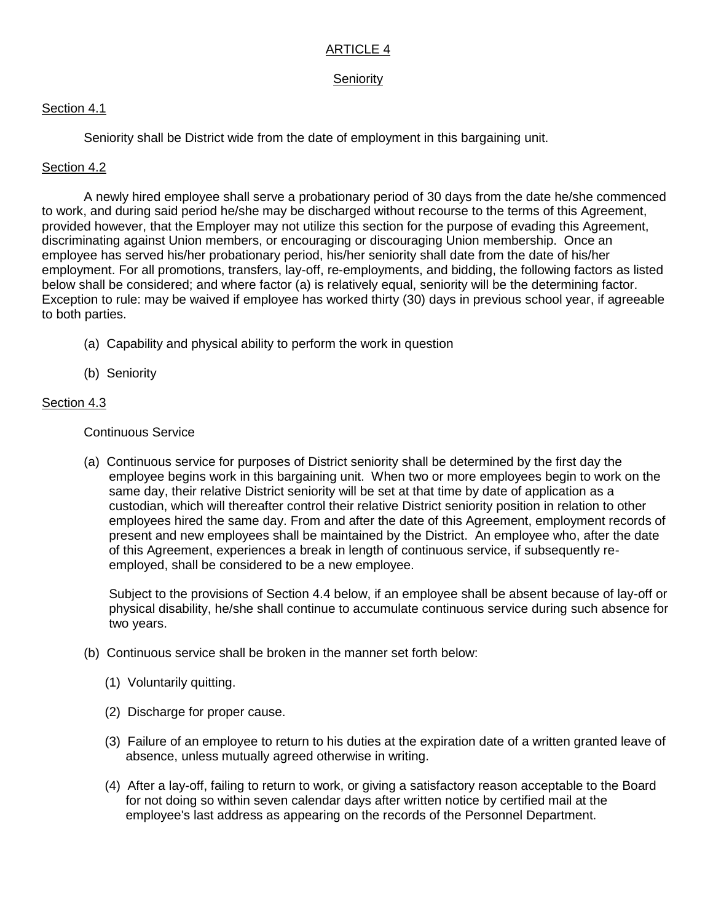# ARTICLE 4

# **Seniority**

# Section 4.1

Seniority shall be District wide from the date of employment in this bargaining unit.

# Section 4.2

A newly hired employee shall serve a probationary period of 30 days from the date he/she commenced to work, and during said period he/she may be discharged without recourse to the terms of this Agreement, provided however, that the Employer may not utilize this section for the purpose of evading this Agreement, discriminating against Union members, or encouraging or discouraging Union membership. Once an employee has served his/her probationary period, his/her seniority shall date from the date of his/her employment. For all promotions, transfers, lay-off, re-employments, and bidding, the following factors as listed below shall be considered; and where factor (a) is relatively equal, seniority will be the determining factor. Exception to rule: may be waived if employee has worked thirty (30) days in previous school year, if agreeable to both parties.

- (a) Capability and physical ability to perform the work in question
- (b) Seniority

# Section 4.3

### Continuous Service

(a) Continuous service for purposes of District seniority shall be determined by the first day the employee begins work in this bargaining unit. When two or more employees begin to work on the same day, their relative District seniority will be set at that time by date of application as a custodian, which will thereafter control their relative District seniority position in relation to other employees hired the same day. From and after the date of this Agreement, employment records of present and new employees shall be maintained by the District. An employee who, after the date of this Agreement, experiences a break in length of continuous service, if subsequently reemployed, shall be considered to be a new employee.

Subject to the provisions of Section 4.4 below, if an employee shall be absent because of lay-off or physical disability, he/she shall continue to accumulate continuous service during such absence for two years.

- (b) Continuous service shall be broken in the manner set forth below:
	- (1) Voluntarily quitting.
	- (2) Discharge for proper cause.
	- (3) Failure of an employee to return to his duties at the expiration date of a written granted leave of absence, unless mutually agreed otherwise in writing.
	- (4) After a lay-off, failing to return to work, or giving a satisfactory reason acceptable to the Board for not doing so within seven calendar days after written notice by certified mail at the employee's last address as appearing on the records of the Personnel Department.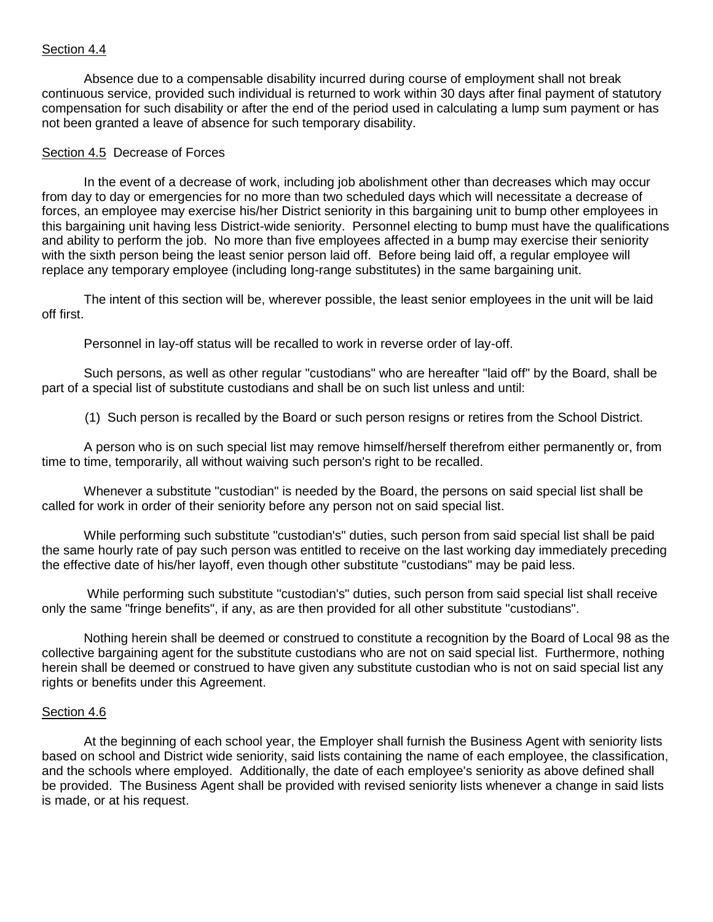### Section 4.4

 Absence due to a compensable disability incurred during course of employment shall not break continuous service, provided such individual is returned to work within 30 days after final payment of statutory compensation for such disability or after the end of the period used in calculating a lump sum payment or has not been granted a leave of absence for such temporary disability.

### Section 4.5 Decrease of Forces

 In the event of a decrease of work, including job abolishment other than decreases which may occur from day to day or emergencies for no more than two scheduled days which will necessitate a decrease of forces, an employee may exercise his/her District seniority in this bargaining unit to bump other employees in this bargaining unit having less District-wide seniority. Personnel electing to bump must have the qualifications and ability to perform the job. No more than five employees affected in a bump may exercise their seniority with the sixth person being the least senior person laid off. Before being laid off, a regular employee will replace any temporary employee (including long-range substitutes) in the same bargaining unit.

 The intent of this section will be, wherever possible, the least senior employees in the unit will be laid off first.

Personnel in lay-off status will be recalled to work in reverse order of lay-off.

 Such persons, as well as other regular "custodians" who are hereafter "laid off" by the Board, shall be part of a special list of substitute custodians and shall be on such list unless and until:

(1) Such person is recalled by the Board or such person resigns or retires from the School District.

 A person who is on such special list may remove himself/herself therefrom either permanently or, from time to time, temporarily, all without waiving such person's right to be recalled.

 Whenever a substitute "custodian" is needed by the Board, the persons on said special list shall be called for work in order of their seniority before any person not on said special list.

 While performing such substitute "custodian's" duties, such person from said special list shall be paid the same hourly rate of pay such person was entitled to receive on the last working day immediately preceding the effective date of his/her layoff, even though other substitute "custodians" may be paid less.

 While performing such substitute "custodian's" duties, such person from said special list shall receive only the same "fringe benefits", if any, as are then provided for all other substitute "custodians".

 Nothing herein shall be deemed or construed to constitute a recognition by the Board of Local 98 as the collective bargaining agent for the substitute custodians who are not on said special list. Furthermore, nothing herein shall be deemed or construed to have given any substitute custodian who is not on said special list any rights or benefits under this Agreement.

### Section 4.6

 At the beginning of each school year, the Employer shall furnish the Business Agent with seniority lists based on school and District wide seniority, said lists containing the name of each employee, the classification, and the schools where employed. Additionally, the date of each employee's seniority as above defined shall be provided. The Business Agent shall be provided with revised seniority lists whenever a change in said lists is made, or at his request.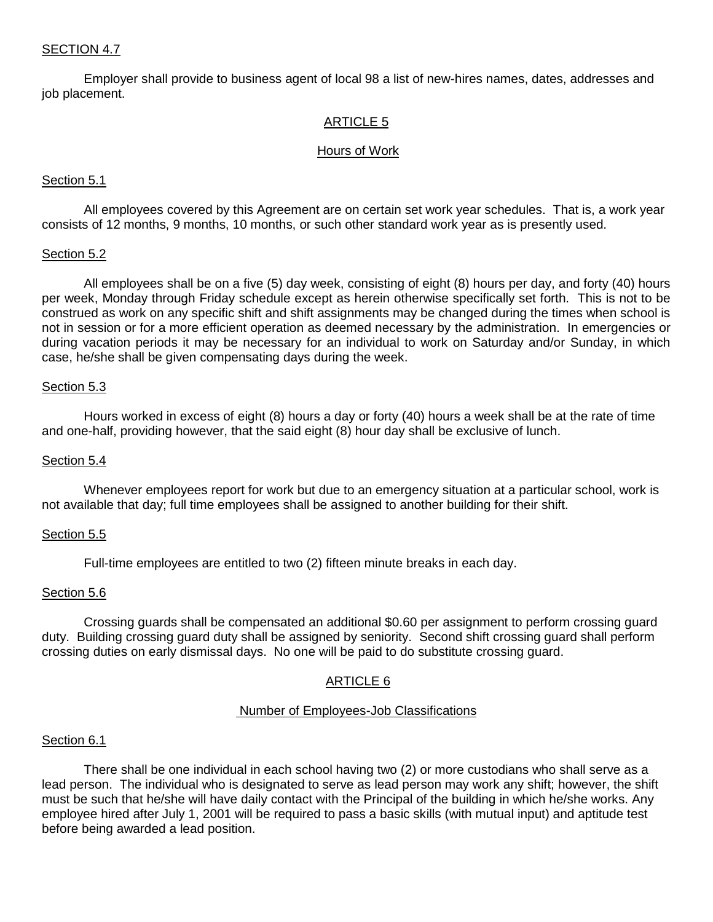### SECTION 4.7

Employer shall provide to business agent of local 98 a list of new-hires names, dates, addresses and job placement.

### ARTICLE 5

#### Hours of Work

#### Section 5.1

 All employees covered by this Agreement are on certain set work year schedules. That is, a work year consists of 12 months, 9 months, 10 months, or such other standard work year as is presently used.

#### Section 5.2

 All employees shall be on a five (5) day week, consisting of eight (8) hours per day, and forty (40) hours per week, Monday through Friday schedule except as herein otherwise specifically set forth. This is not to be construed as work on any specific shift and shift assignments may be changed during the times when school is not in session or for a more efficient operation as deemed necessary by the administration. In emergencies or during vacation periods it may be necessary for an individual to work on Saturday and/or Sunday, in which case, he/she shall be given compensating days during the week.

#### Section 5.3

 Hours worked in excess of eight (8) hours a day or forty (40) hours a week shall be at the rate of time and one-half, providing however, that the said eight (8) hour day shall be exclusive of lunch.

#### Section 5.4

 Whenever employees report for work but due to an emergency situation at a particular school, work is not available that day; full time employees shall be assigned to another building for their shift.

#### Section 5.5

Full-time employees are entitled to two (2) fifteen minute breaks in each day.

#### Section 5.6

Crossing guards shall be compensated an additional \$0.60 per assignment to perform crossing guard duty. Building crossing guard duty shall be assigned by seniority. Second shift crossing guard shall perform crossing duties on early dismissal days. No one will be paid to do substitute crossing guard.

### ARTICLE 6

#### Number of Employees-Job Classifications

#### Section 6.1

 There shall be one individual in each school having two (2) or more custodians who shall serve as a lead person. The individual who is designated to serve as lead person may work any shift; however, the shift must be such that he/she will have daily contact with the Principal of the building in which he/she works. Any employee hired after July 1, 2001 will be required to pass a basic skills (with mutual input) and aptitude test before being awarded a lead position.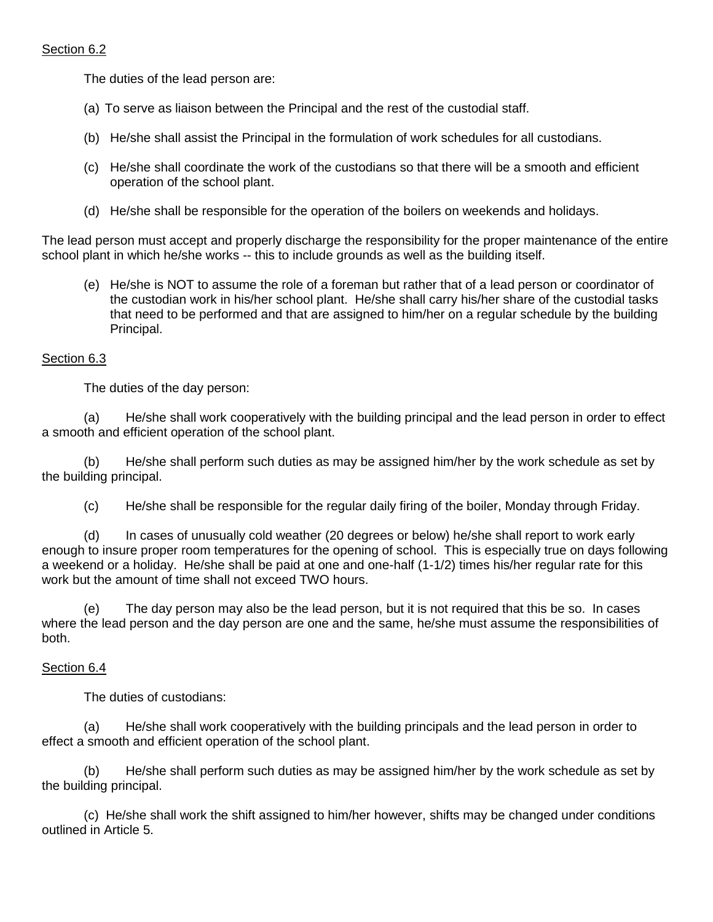# Section 6.2

The duties of the lead person are:

- (a) To serve as liaison between the Principal and the rest of the custodial staff.
- (b) He/she shall assist the Principal in the formulation of work schedules for all custodians.
- (c) He/she shall coordinate the work of the custodians so that there will be a smooth and efficient operation of the school plant.
- (d) He/she shall be responsible for the operation of the boilers on weekends and holidays.

The lead person must accept and properly discharge the responsibility for the proper maintenance of the entire school plant in which he/she works -- this to include grounds as well as the building itself.

(e) He/she is NOT to assume the role of a foreman but rather that of a lead person or coordinator of the custodian work in his/her school plant. He/she shall carry his/her share of the custodial tasks that need to be performed and that are assigned to him/her on a regular schedule by the building Principal.

### Section 6.3

The duties of the day person:

(a) He/she shall work cooperatively with the building principal and the lead person in order to effect a smooth and efficient operation of the school plant.

(b) He/she shall perform such duties as may be assigned him/her by the work schedule as set by the building principal.

(c) He/she shall be responsible for the regular daily firing of the boiler, Monday through Friday.

(d) In cases of unusually cold weather (20 degrees or below) he/she shall report to work early enough to insure proper room temperatures for the opening of school. This is especially true on days following a weekend or a holiday. He/she shall be paid at one and one-half (1-1/2) times his/her regular rate for this work but the amount of time shall not exceed TWO hours.

(e) The day person may also be the lead person, but it is not required that this be so. In cases where the lead person and the day person are one and the same, he/she must assume the responsibilities of both.

# Section 6.4

The duties of custodians:

(a) He/she shall work cooperatively with the building principals and the lead person in order to effect a smooth and efficient operation of the school plant.

(b) He/she shall perform such duties as may be assigned him/her by the work schedule as set by the building principal.

(c) He/she shall work the shift assigned to him/her however, shifts may be changed under conditions outlined in Article 5.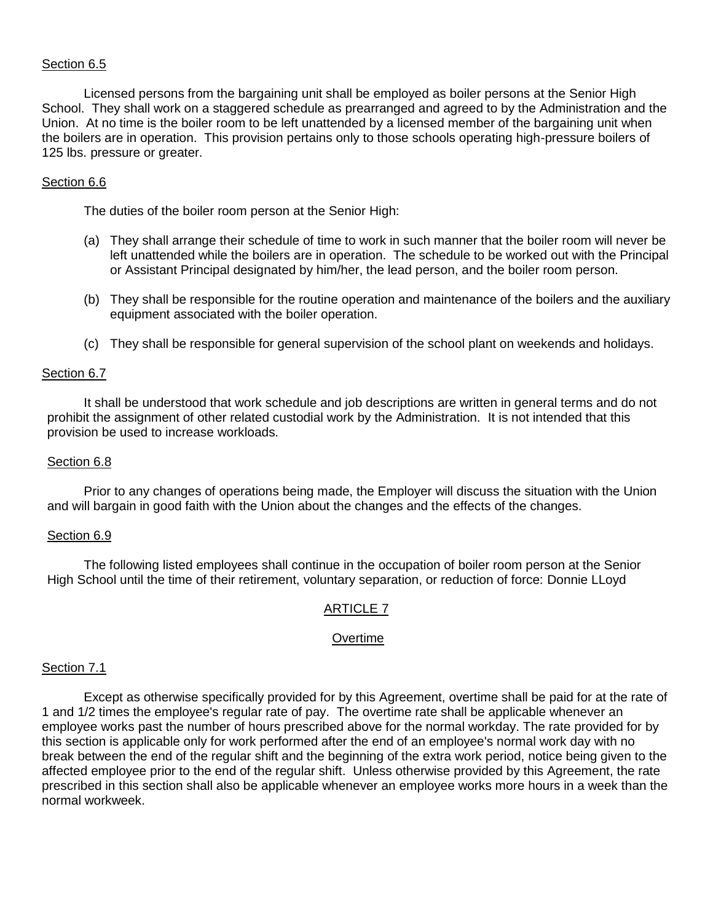### Section 6.5

Licensed persons from the bargaining unit shall be employed as boiler persons at the Senior High School. They shall work on a staggered schedule as prearranged and agreed to by the Administration and the Union. At no time is the boiler room to be left unattended by a licensed member of the bargaining unit when the boilers are in operation. This provision pertains only to those schools operating high-pressure boilers of 125 lbs. pressure or greater.

### Section 6.6

The duties of the boiler room person at the Senior High:

- (a) They shall arrange their schedule of time to work in such manner that the boiler room will never be left unattended while the boilers are in operation. The schedule to be worked out with the Principal or Assistant Principal designated by him/her, the lead person, and the boiler room person.
- (b) They shall be responsible for the routine operation and maintenance of the boilers and the auxiliary equipment associated with the boiler operation.
- (c) They shall be responsible for general supervision of the school plant on weekends and holidays.

### Section 6.7

It shall be understood that work schedule and job descriptions are written in general terms and do not prohibit the assignment of other related custodial work by the Administration. It is not intended that this provision be used to increase workloads.

### Section 6.8

Prior to any changes of operations being made, the Employer will discuss the situation with the Union and will bargain in good faith with the Union about the changes and the effects of the changes.

### Section 6.9

The following listed employees shall continue in the occupation of boiler room person at the Senior High School until the time of their retirement, voluntary separation, or reduction of force: Donnie LLoyd

# ARTICLE 7

### Overtime

### Section 7.1

 Except as otherwise specifically provided for by this Agreement, overtime shall be paid for at the rate of 1 and 1/2 times the employee's regular rate of pay. The overtime rate shall be applicable whenever an employee works past the number of hours prescribed above for the normal workday. The rate provided for by this section is applicable only for work performed after the end of an employee's normal work day with no break between the end of the regular shift and the beginning of the extra work period, notice being given to the affected employee prior to the end of the regular shift. Unless otherwise provided by this Agreement, the rate prescribed in this section shall also be applicable whenever an employee works more hours in a week than the normal workweek.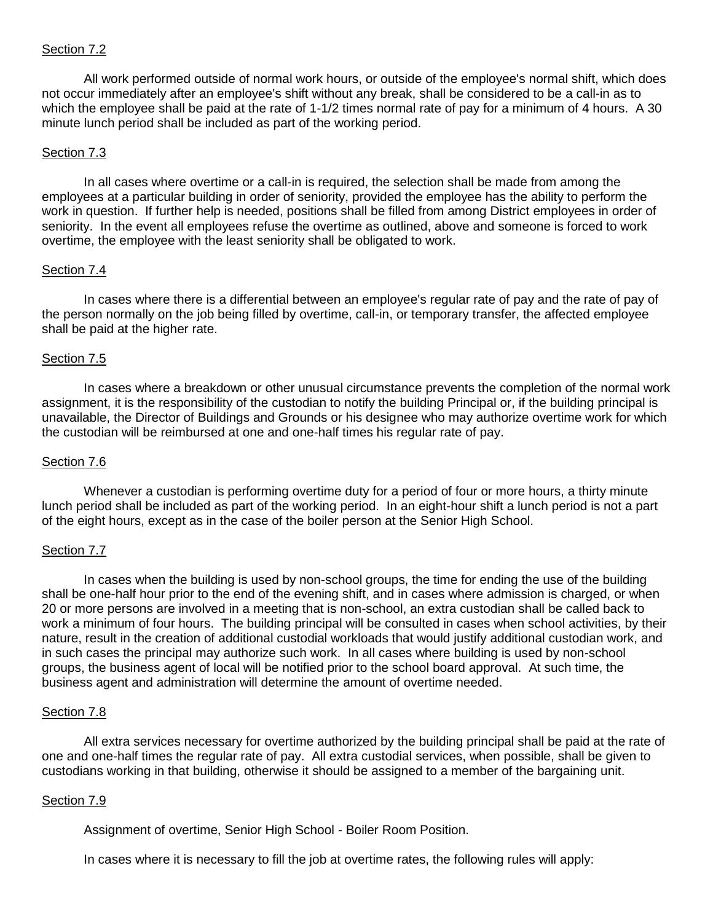### Section 7.2

All work performed outside of normal work hours, or outside of the employee's normal shift, which does not occur immediately after an employee's shift without any break, shall be considered to be a call-in as to which the employee shall be paid at the rate of 1-1/2 times normal rate of pay for a minimum of 4 hours. A 30 minute lunch period shall be included as part of the working period.

### Section 7.3

In all cases where overtime or a call-in is required, the selection shall be made from among the employees at a particular building in order of seniority, provided the employee has the ability to perform the work in question. If further help is needed, positions shall be filled from among District employees in order of seniority. In the event all employees refuse the overtime as outlined, above and someone is forced to work overtime, the employee with the least seniority shall be obligated to work.

### Section 7.4

In cases where there is a differential between an employee's regular rate of pay and the rate of pay of the person normally on the job being filled by overtime, call-in, or temporary transfer, the affected employee shall be paid at the higher rate.

### Section 7.5

In cases where a breakdown or other unusual circumstance prevents the completion of the normal work assignment, it is the responsibility of the custodian to notify the building Principal or, if the building principal is unavailable, the Director of Buildings and Grounds or his designee who may authorize overtime work for which the custodian will be reimbursed at one and one-half times his regular rate of pay.

### Section 7.6

Whenever a custodian is performing overtime duty for a period of four or more hours, a thirty minute lunch period shall be included as part of the working period. In an eight-hour shift a lunch period is not a part of the eight hours, except as in the case of the boiler person at the Senior High School.

### Section 7.7

In cases when the building is used by non-school groups, the time for ending the use of the building shall be one-half hour prior to the end of the evening shift, and in cases where admission is charged, or when 20 or more persons are involved in a meeting that is non-school, an extra custodian shall be called back to work a minimum of four hours. The building principal will be consulted in cases when school activities, by their nature, result in the creation of additional custodial workloads that would justify additional custodian work, and in such cases the principal may authorize such work. In all cases where building is used by non-school groups, the business agent of local will be notified prior to the school board approval. At such time, the business agent and administration will determine the amount of overtime needed.

### Section 7.8

All extra services necessary for overtime authorized by the building principal shall be paid at the rate of one and one-half times the regular rate of pay. All extra custodial services, when possible, shall be given to custodians working in that building, otherwise it should be assigned to a member of the bargaining unit.

### Section 7.9

Assignment of overtime, Senior High School - Boiler Room Position.

In cases where it is necessary to fill the job at overtime rates, the following rules will apply: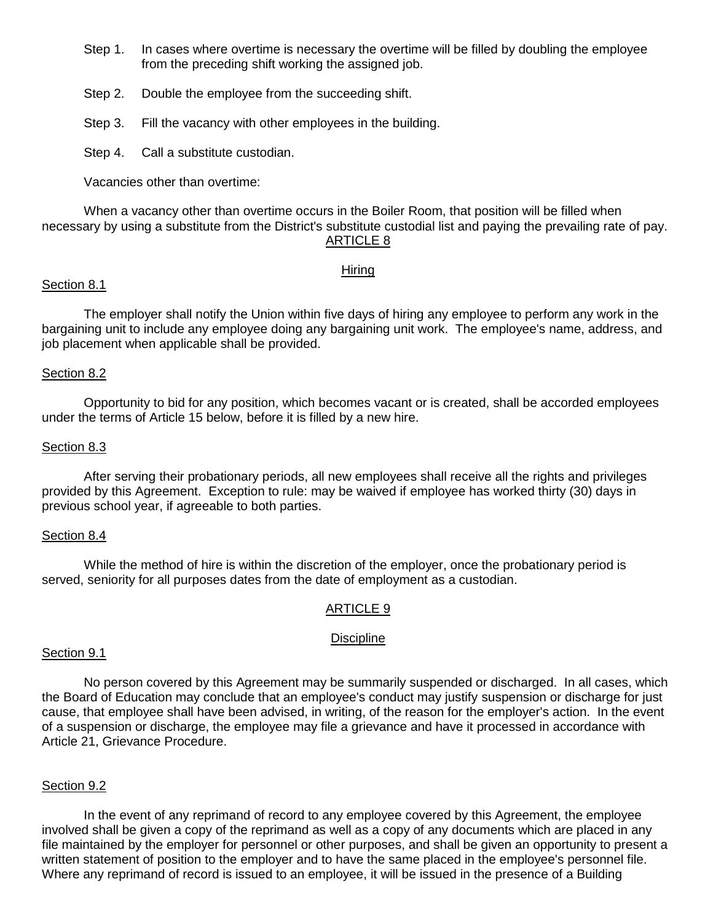- Step 1. In cases where overtime is necessary the overtime will be filled by doubling the employee from the preceding shift working the assigned job.
- Step 2. Double the employee from the succeeding shift.
- Step 3. Fill the vacancy with other employees in the building.

Step 4. Call a substitute custodian.

Vacancies other than overtime:

When a vacancy other than overtime occurs in the Boiler Room, that position will be filled when necessary by using a substitute from the District's substitute custodial list and paying the prevailing rate of pay. ARTICLE 8

### Hiring

### Section 8.1

 The employer shall notify the Union within five days of hiring any employee to perform any work in the bargaining unit to include any employee doing any bargaining unit work. The employee's name, address, and job placement when applicable shall be provided.

### Section 8.2

 Opportunity to bid for any position, which becomes vacant or is created, shall be accorded employees under the terms of Article 15 below, before it is filled by a new hire.

### Section 8.3

 After serving their probationary periods, all new employees shall receive all the rights and privileges provided by this Agreement. Exception to rule: may be waived if employee has worked thirty (30) days in previous school year, if agreeable to both parties.

### Section 8.4

 While the method of hire is within the discretion of the employer, once the probationary period is served, seniority for all purposes dates from the date of employment as a custodian.

# ARTICLE 9

### Discipline

### Section 9.1

 No person covered by this Agreement may be summarily suspended or discharged. In all cases, which the Board of Education may conclude that an employee's conduct may justify suspension or discharge for just cause, that employee shall have been advised, in writing, of the reason for the employer's action. In the event of a suspension or discharge, the employee may file a grievance and have it processed in accordance with Article 21, Grievance Procedure.

### Section 9.2

 In the event of any reprimand of record to any employee covered by this Agreement, the employee involved shall be given a copy of the reprimand as well as a copy of any documents which are placed in any file maintained by the employer for personnel or other purposes, and shall be given an opportunity to present a written statement of position to the employer and to have the same placed in the employee's personnel file. Where any reprimand of record is issued to an employee, it will be issued in the presence of a Building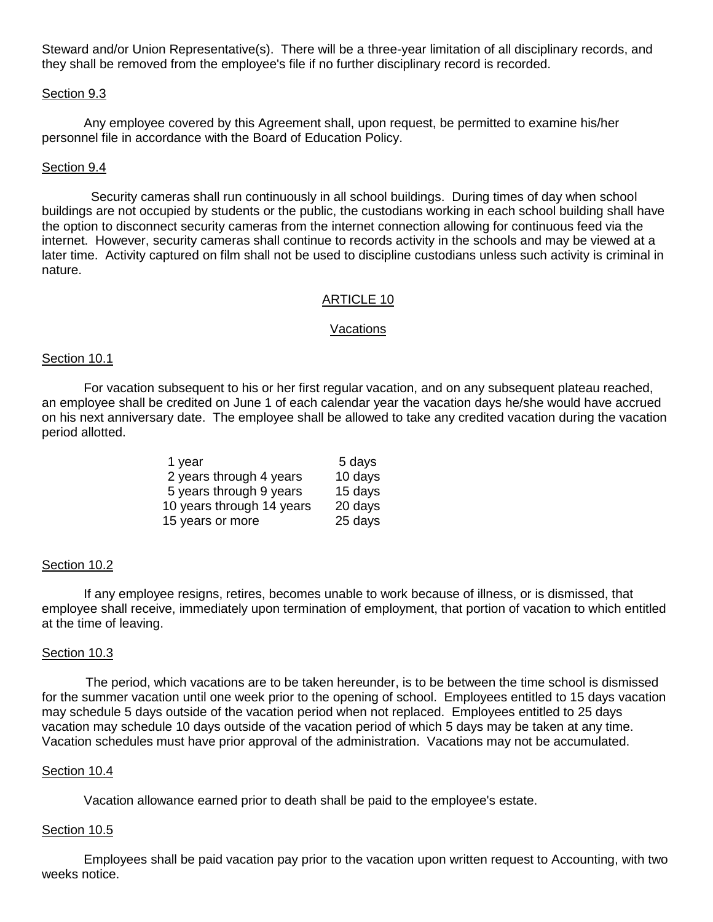Steward and/or Union Representative(s). There will be a three-year limitation of all disciplinary records, and they shall be removed from the employee's file if no further disciplinary record is recorded.

#### Section 9.3

 Any employee covered by this Agreement shall, upon request, be permitted to examine his/her personnel file in accordance with the Board of Education Policy.

#### Section 9.4

 Security cameras shall run continuously in all school buildings. During times of day when school buildings are not occupied by students or the public, the custodians working in each school building shall have the option to disconnect security cameras from the internet connection allowing for continuous feed via the internet. However, security cameras shall continue to records activity in the schools and may be viewed at a later time. Activity captured on film shall not be used to discipline custodians unless such activity is criminal in nature.

#### ARTICLE 10

#### Vacations

#### Section 10.1

 For vacation subsequent to his or her first regular vacation, and on any subsequent plateau reached, an employee shall be credited on June 1 of each calendar year the vacation days he/she would have accrued on his next anniversary date. The employee shall be allowed to take any credited vacation during the vacation period allotted.

| 1 year                    | 5 days  |
|---------------------------|---------|
| 2 years through 4 years   | 10 days |
| 5 years through 9 years   | 15 days |
| 10 years through 14 years | 20 days |
| 15 years or more          | 25 days |

#### Section 10.2

 If any employee resigns, retires, becomes unable to work because of illness, or is dismissed, that employee shall receive, immediately upon termination of employment, that portion of vacation to which entitled at the time of leaving.

#### Section 10.3

 The period, which vacations are to be taken hereunder, is to be between the time school is dismissed for the summer vacation until one week prior to the opening of school. Employees entitled to 15 days vacation may schedule 5 days outside of the vacation period when not replaced. Employees entitled to 25 days vacation may schedule 10 days outside of the vacation period of which 5 days may be taken at any time. Vacation schedules must have prior approval of the administration. Vacations may not be accumulated.

#### Section 10.4

Vacation allowance earned prior to death shall be paid to the employee's estate.

#### Section 10.5

Employees shall be paid vacation pay prior to the vacation upon written request to Accounting, with two weeks notice.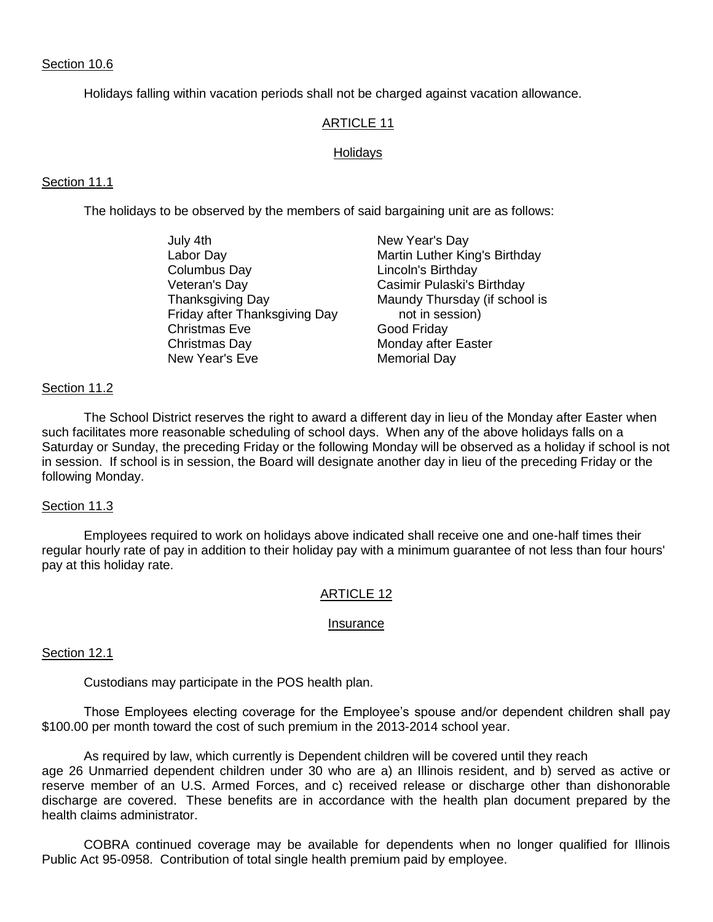### Section 10.6

Holidays falling within vacation periods shall not be charged against vacation allowance.

#### ARTICLE 11

#### Holidays

#### Section 11.1

The holidays to be observed by the members of said bargaining unit are as follows:

July 4th New Year's Day Labor Day **Martin Luther King's Birthday** Columbus Day **Lincoln's Birthday**  Veteran's Day Casimir Pulaski's Birthday Thanksgiving Day Maundy Thursday (if school is Friday after Thanksgiving Day not in session) Christmas Eve Good Friday Christmas Day **Monday after Easter** New Year's Eve Memorial Day

#### Section 11.2

 The School District reserves the right to award a different day in lieu of the Monday after Easter when such facilitates more reasonable scheduling of school days. When any of the above holidays falls on a Saturday or Sunday, the preceding Friday or the following Monday will be observed as a holiday if school is not in session. If school is in session, the Board will designate another day in lieu of the preceding Friday or the following Monday.

#### Section 11.3

 Employees required to work on holidays above indicated shall receive one and one-half times their regular hourly rate of pay in addition to their holiday pay with a minimum guarantee of not less than four hours' pay at this holiday rate.

### ARTICLE 12

#### Insurance

#### Section 12.1

Custodians may participate in the POS health plan.

Those Employees electing coverage for the Employee's spouse and/or dependent children shall pay \$100.00 per month toward the cost of such premium in the 2013-2014 school year.

As required by law, which currently is Dependent children will be covered until they reach age 26 Unmarried dependent children under 30 who are a) an Illinois resident, and b) served as active or reserve member of an U.S. Armed Forces, and c) received release or discharge other than dishonorable discharge are covered. These benefits are in accordance with the health plan document prepared by the health claims administrator.

COBRA continued coverage may be available for dependents when no longer qualified for Illinois Public Act 95-0958. Contribution of total single health premium paid by employee.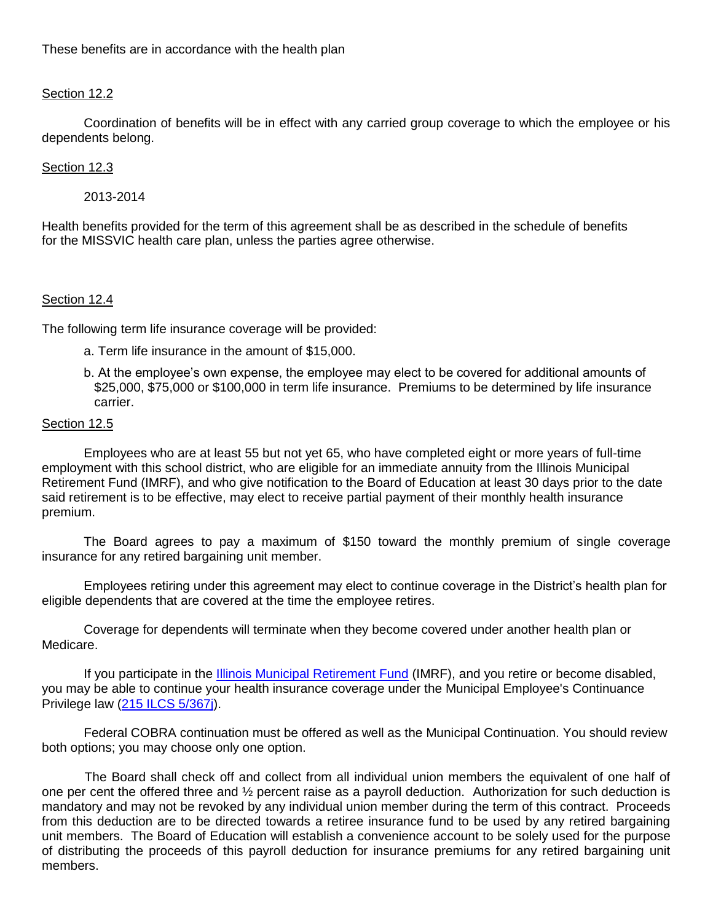# Section 12.2

Coordination of benefits will be in effect with any carried group coverage to which the employee or his dependents belong.

# Section 12.3

2013-2014

Health benefits provided for the term of this agreement shall be as described in the schedule of benefits for the MISSVIC health care plan, unless the parties agree otherwise.

### Section 12.4

The following term life insurance coverage will be provided:

- a. Term life insurance in the amount of \$15,000.
- b. At the employee's own expense, the employee may elect to be covered for additional amounts of \$25,000, \$75,000 or \$100,000 in term life insurance. Premiums to be determined by life insurance carrier.

### Section 12.5

Employees who are at least 55 but not yet 65, who have completed eight or more years of full-time employment with this school district, who are eligible for an immediate annuity from the Illinois Municipal Retirement Fund (IMRF), and who give notification to the Board of Education at least 30 days prior to the date said retirement is to be effective, may elect to receive partial payment of their monthly health insurance premium.

The Board agrees to pay a maximum of \$150 toward the monthly premium of single coverage insurance for any retired bargaining unit member.

Employees retiring under this agreement may elect to continue coverage in the District's health plan for eligible dependents that are covered at the time the employee retires.

Coverage for dependents will terminate when they become covered under another health plan or Medicare.

If you participate in the [Illinois Municipal Retirement Fund](http://www.imrf.org/) (IMRF), and you retire or become disabled, you may be able to continue your health insurance coverage under the Municipal Employee's Continuance Privilege law [\(215 ILCS 5/367j\)](http://www.imrf.org/legislation/IL_insurance_code.htm#367j).

Federal COBRA continuation must be offered as well as the Municipal Continuation. You should review both options; you may choose only one option.

 The Board shall check off and collect from all individual union members the equivalent of one half of one per cent the offered three and ½ percent raise as a payroll deduction. Authorization for such deduction is mandatory and may not be revoked by any individual union member during the term of this contract. Proceeds from this deduction are to be directed towards a retiree insurance fund to be used by any retired bargaining unit members. The Board of Education will establish a convenience account to be solely used for the purpose of distributing the proceeds of this payroll deduction for insurance premiums for any retired bargaining unit members.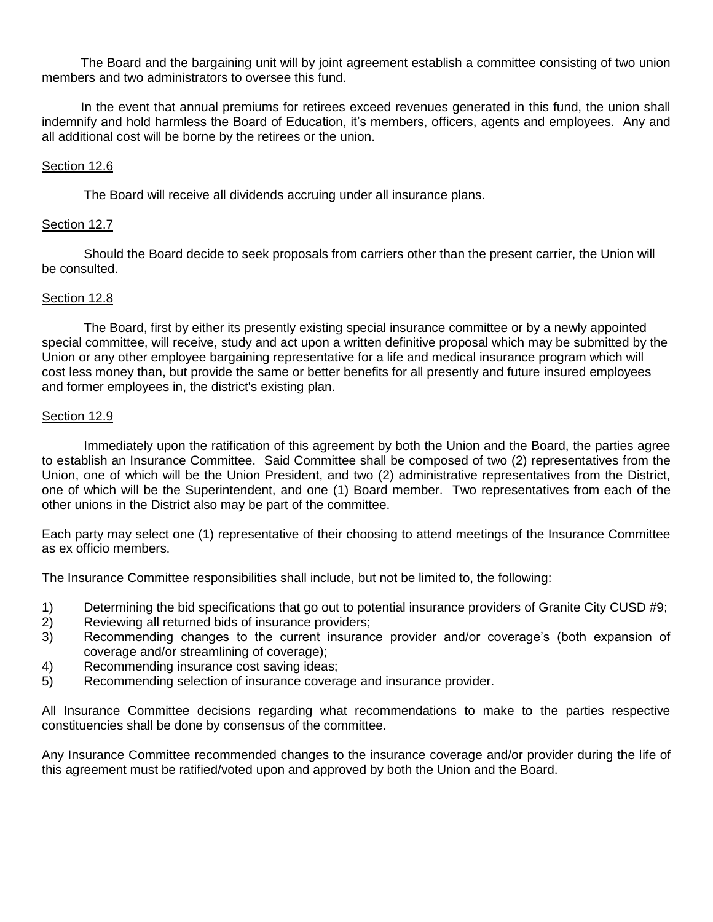The Board and the bargaining unit will by joint agreement establish a committee consisting of two union members and two administrators to oversee this fund.

 In the event that annual premiums for retirees exceed revenues generated in this fund, the union shall indemnify and hold harmless the Board of Education, it's members, officers, agents and employees. Any and all additional cost will be borne by the retirees or the union.

### Section 12.6

The Board will receive all dividends accruing under all insurance plans.

### Section 12.7

 Should the Board decide to seek proposals from carriers other than the present carrier, the Union will be consulted.

### Section 12.8

 The Board, first by either its presently existing special insurance committee or by a newly appointed special committee, will receive, study and act upon a written definitive proposal which may be submitted by the Union or any other employee bargaining representative for a life and medical insurance program which will cost less money than, but provide the same or better benefits for all presently and future insured employees and former employees in, the district's existing plan.

### Section 12.9

Immediately upon the ratification of this agreement by both the Union and the Board, the parties agree to establish an Insurance Committee. Said Committee shall be composed of two (2) representatives from the Union, one of which will be the Union President, and two (2) administrative representatives from the District, one of which will be the Superintendent, and one (1) Board member. Two representatives from each of the other unions in the District also may be part of the committee.

Each party may select one (1) representative of their choosing to attend meetings of the Insurance Committee as ex officio members.

The Insurance Committee responsibilities shall include, but not be limited to, the following:

- 1) Determining the bid specifications that go out to potential insurance providers of Granite City CUSD #9;
- 2) Reviewing all returned bids of insurance providers;
- 3) Recommending changes to the current insurance provider and/or coverage's (both expansion of coverage and/or streamlining of coverage);
- 4) Recommending insurance cost saving ideas;
- 5) Recommending selection of insurance coverage and insurance provider.

All Insurance Committee decisions regarding what recommendations to make to the parties respective constituencies shall be done by consensus of the committee.

Any Insurance Committee recommended changes to the insurance coverage and/or provider during the life of this agreement must be ratified/voted upon and approved by both the Union and the Board.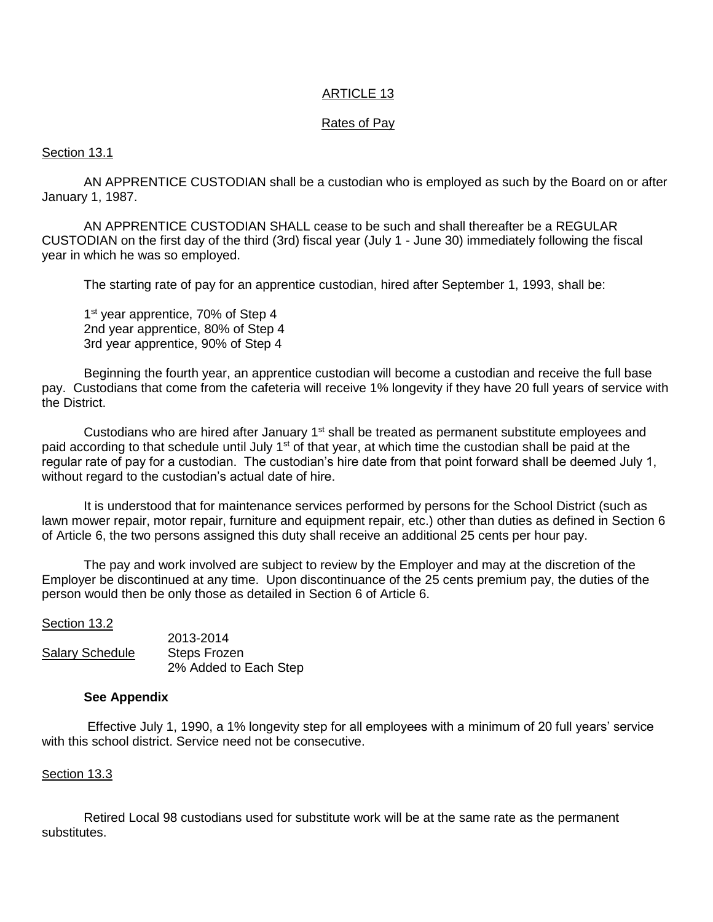### ARTICLE 13

### Rates of Pay

### Section 13.1

AN APPRENTICE CUSTODIAN shall be a custodian who is employed as such by the Board on or after January 1, 1987.

AN APPRENTICE CUSTODIAN SHALL cease to be such and shall thereafter be a REGULAR CUSTODIAN on the first day of the third (3rd) fiscal year (July 1 - June 30) immediately following the fiscal year in which he was so employed.

The starting rate of pay for an apprentice custodian, hired after September 1, 1993, shall be:

1<sup>st</sup> year apprentice, 70% of Step 4 2nd year apprentice, 80% of Step 4 3rd year apprentice, 90% of Step 4

Beginning the fourth year, an apprentice custodian will become a custodian and receive the full base pay. Custodians that come from the cafeteria will receive 1% longevity if they have 20 full years of service with the District.

Custodians who are hired after January  $1<sup>st</sup>$  shall be treated as permanent substitute employees and paid according to that schedule until July 1<sup>st</sup> of that year, at which time the custodian shall be paid at the regular rate of pay for a custodian. The custodian's hire date from that point forward shall be deemed July 1, without regard to the custodian's actual date of hire.

It is understood that for maintenance services performed by persons for the School District (such as lawn mower repair, motor repair, furniture and equipment repair, etc.) other than duties as defined in Section 6 of Article 6, the two persons assigned this duty shall receive an additional 25 cents per hour pay.

The pay and work involved are subject to review by the Employer and may at the discretion of the Employer be discontinued at any time. Upon discontinuance of the 25 cents premium pay, the duties of the person would then be only those as detailed in Section 6 of Article 6.

### Section 13.2

|                        | 2013-2014             |
|------------------------|-----------------------|
| <b>Salary Schedule</b> | Steps Frozen          |
|                        | 2% Added to Each Step |

2013-2014

### **See Appendix**

Effective July 1, 1990, a 1% longevity step for all employees with a minimum of 20 full years' service with this school district. Service need not be consecutive.

### Section 13.3

Retired Local 98 custodians used for substitute work will be at the same rate as the permanent substitutes.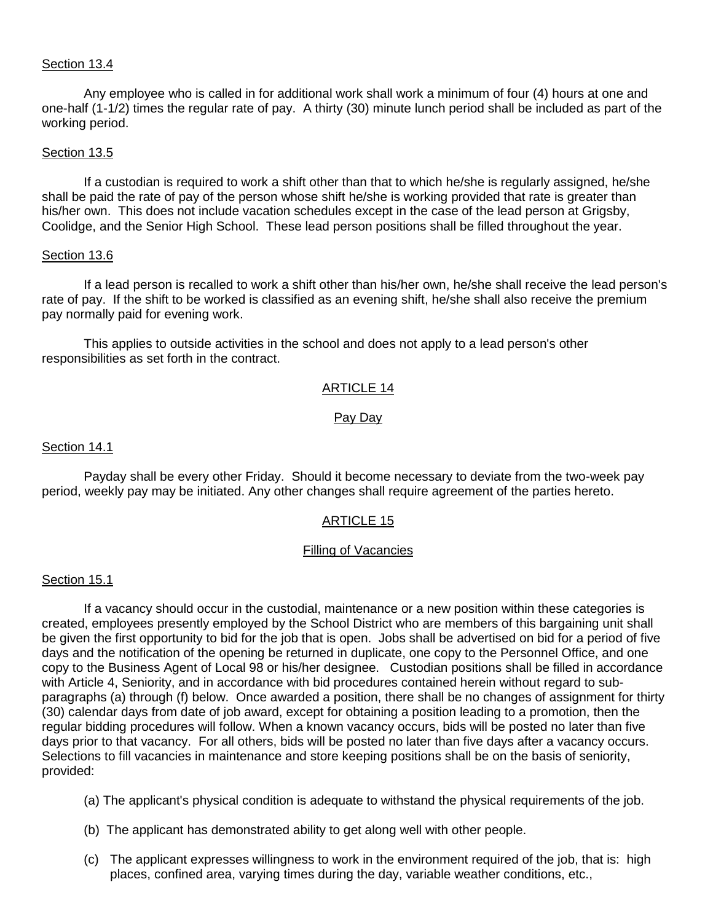### Section 13.4

Any employee who is called in for additional work shall work a minimum of four (4) hours at one and one-half (1-1/2) times the regular rate of pay. A thirty (30) minute lunch period shall be included as part of the working period.

#### Section 13.5

If a custodian is required to work a shift other than that to which he/she is regularly assigned, he/she shall be paid the rate of pay of the person whose shift he/she is working provided that rate is greater than his/her own. This does not include vacation schedules except in the case of the lead person at Grigsby, Coolidge, and the Senior High School. These lead person positions shall be filled throughout the year.

#### Section 13.6

If a lead person is recalled to work a shift other than his/her own, he/she shall receive the lead person's rate of pay. If the shift to be worked is classified as an evening shift, he/she shall also receive the premium pay normally paid for evening work.

This applies to outside activities in the school and does not apply to a lead person's other responsibilities as set forth in the contract.

### ARTICLE 14

### Pay Day

#### Section 14.1

 Payday shall be every other Friday. Should it become necessary to deviate from the two-week pay period, weekly pay may be initiated. Any other changes shall require agreement of the parties hereto.

### ARTICLE 15

#### Filling of Vacancies

#### Section 15.1

 If a vacancy should occur in the custodial, maintenance or a new position within these categories is created, employees presently employed by the School District who are members of this bargaining unit shall be given the first opportunity to bid for the job that is open. Jobs shall be advertised on bid for a period of five days and the notification of the opening be returned in duplicate, one copy to the Personnel Office, and one copy to the Business Agent of Local 98 or his/her designee. Custodian positions shall be filled in accordance with Article 4, Seniority, and in accordance with bid procedures contained herein without regard to subparagraphs (a) through (f) below. Once awarded a position, there shall be no changes of assignment for thirty (30) calendar days from date of job award, except for obtaining a position leading to a promotion, then the regular bidding procedures will follow. When a known vacancy occurs, bids will be posted no later than five days prior to that vacancy. For all others, bids will be posted no later than five days after a vacancy occurs. Selections to fill vacancies in maintenance and store keeping positions shall be on the basis of seniority, provided:

- (a) The applicant's physical condition is adequate to withstand the physical requirements of the job.
- (b) The applicant has demonstrated ability to get along well with other people.
- (c) The applicant expresses willingness to work in the environment required of the job, that is: high places, confined area, varying times during the day, variable weather conditions, etc.,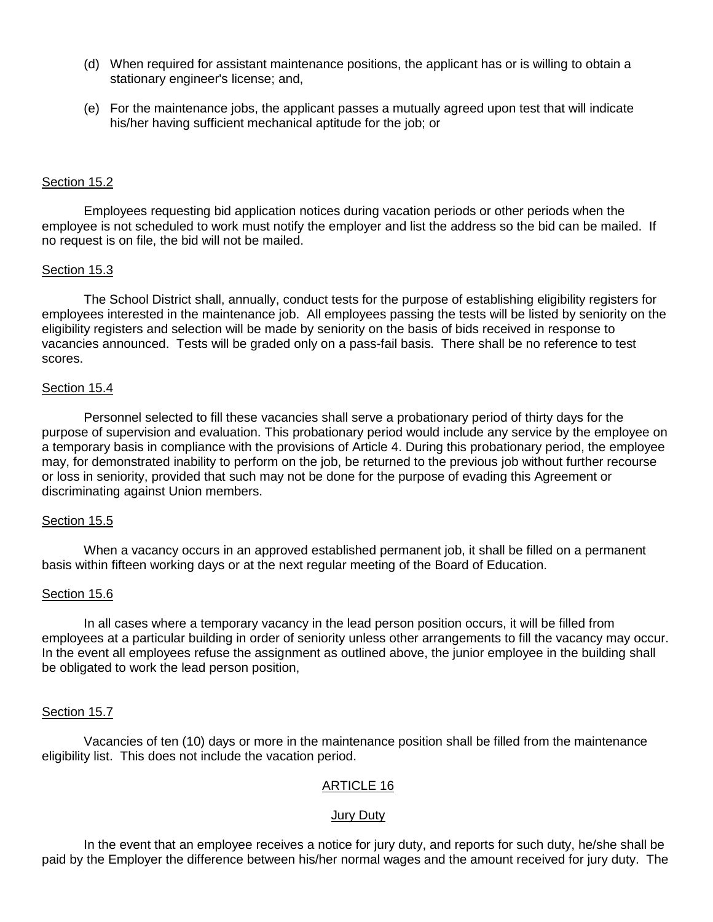- (d) When required for assistant maintenance positions, the applicant has or is willing to obtain a stationary engineer's license; and,
- (e) For the maintenance jobs, the applicant passes a mutually agreed upon test that will indicate his/her having sufficient mechanical aptitude for the job; or

### Section 15.2

 Employees requesting bid application notices during vacation periods or other periods when the employee is not scheduled to work must notify the employer and list the address so the bid can be mailed. If no request is on file, the bid will not be mailed.

### Section 15.3

The School District shall, annually, conduct tests for the purpose of establishing eligibility registers for employees interested in the maintenance job. All employees passing the tests will be listed by seniority on the eligibility registers and selection will be made by seniority on the basis of bids received in response to vacancies announced. Tests will be graded only on a pass-fail basis. There shall be no reference to test scores.

#### Section 15.4

 Personnel selected to fill these vacancies shall serve a probationary period of thirty days for the purpose of supervision and evaluation. This probationary period would include any service by the employee on a temporary basis in compliance with the provisions of Article 4. During this probationary period, the employee may, for demonstrated inability to perform on the job, be returned to the previous job without further recourse or loss in seniority, provided that such may not be done for the purpose of evading this Agreement or discriminating against Union members.

### Section 15.5

 When a vacancy occurs in an approved established permanent job, it shall be filled on a permanent basis within fifteen working days or at the next regular meeting of the Board of Education.

### Section 15.6

In all cases where a temporary vacancy in the lead person position occurs, it will be filled from employees at a particular building in order of seniority unless other arrangements to fill the vacancy may occur. In the event all employees refuse the assignment as outlined above, the junior employee in the building shall be obligated to work the lead person position,

### Section 15.7

Vacancies of ten (10) days or more in the maintenance position shall be filled from the maintenance eligibility list. This does not include the vacation period.

### ARTICLE 16

### Jury Duty

 In the event that an employee receives a notice for jury duty, and reports for such duty, he/she shall be paid by the Employer the difference between his/her normal wages and the amount received for jury duty. The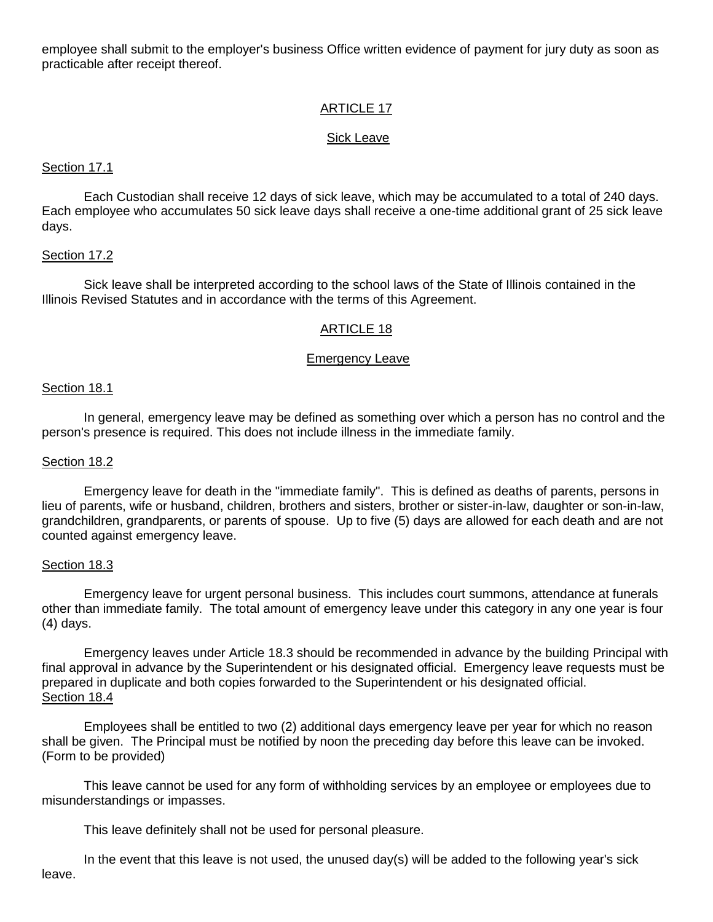employee shall submit to the employer's business Office written evidence of payment for jury duty as soon as practicable after receipt thereof.

# ARTICLE 17

### Sick Leave

### Section 17.1

Each Custodian shall receive 12 days of sick leave, which may be accumulated to a total of 240 days. Each employee who accumulates 50 sick leave days shall receive a one-time additional grant of 25 sick leave days.

### Section 17.2

 Sick leave shall be interpreted according to the school laws of the State of Illinois contained in the Illinois Revised Statutes and in accordance with the terms of this Agreement.

# ARTICLE 18

### Emergency Leave

### Section 18.1

 In general, emergency leave may be defined as something over which a person has no control and the person's presence is required. This does not include illness in the immediate family.

#### Section 18.2

 Emergency leave for death in the "immediate family". This is defined as deaths of parents, persons in lieu of parents, wife or husband, children, brothers and sisters, brother or sister-in-law, daughter or son-in-law, grandchildren, grandparents, or parents of spouse. Up to five (5) days are allowed for each death and are not counted against emergency leave.

### Section 18.3

 Emergency leave for urgent personal business. This includes court summons, attendance at funerals other than immediate family. The total amount of emergency leave under this category in any one year is four (4) days.

 Emergency leaves under Article 18.3 should be recommended in advance by the building Principal with final approval in advance by the Superintendent or his designated official. Emergency leave requests must be prepared in duplicate and both copies forwarded to the Superintendent or his designated official. Section 18.4

 Employees shall be entitled to two (2) additional days emergency leave per year for which no reason shall be given. The Principal must be notified by noon the preceding day before this leave can be invoked. (Form to be provided)

 This leave cannot be used for any form of withholding services by an employee or employees due to misunderstandings or impasses.

This leave definitely shall not be used for personal pleasure.

 In the event that this leave is not used, the unused day(s) will be added to the following year's sick leave.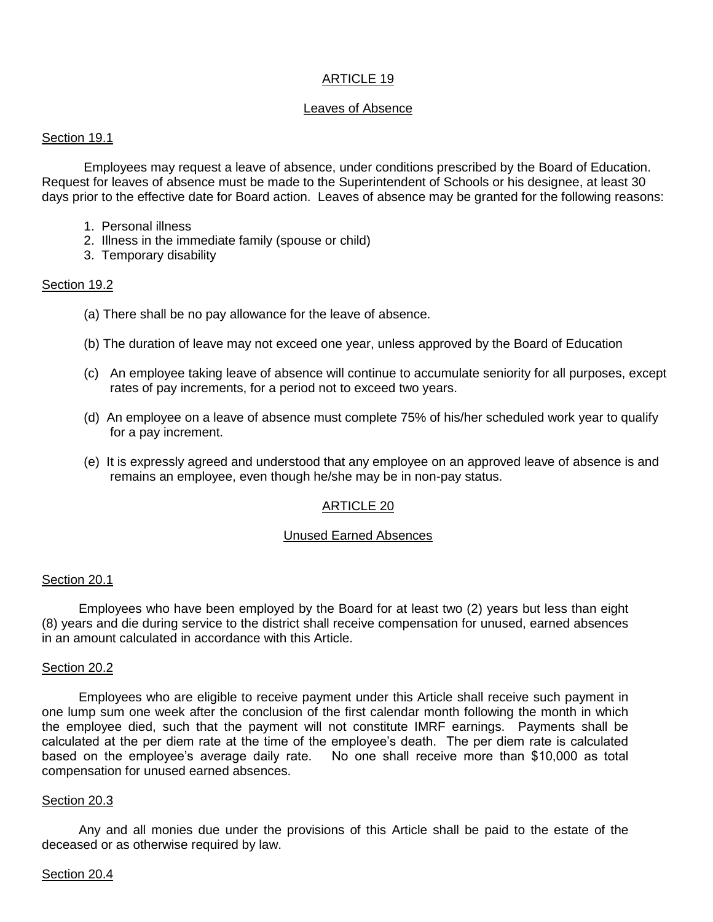# ARTICLE 19

### Leaves of Absence

### Section 19.1

 Employees may request a leave of absence, under conditions prescribed by the Board of Education. Request for leaves of absence must be made to the Superintendent of Schools or his designee, at least 30 days prior to the effective date for Board action. Leaves of absence may be granted for the following reasons:

- 1. Personal illness
- 2. Illness in the immediate family (spouse or child)
- 3. Temporary disability

### Section 19.2

- (a) There shall be no pay allowance for the leave of absence.
- (b) The duration of leave may not exceed one year, unless approved by the Board of Education
- (c) An employee taking leave of absence will continue to accumulate seniority for all purposes, except rates of pay increments, for a period not to exceed two years.
- (d) An employee on a leave of absence must complete 75% of his/her scheduled work year to qualify for a pay increment.
- (e) It is expressly agreed and understood that any employee on an approved leave of absence is and remains an employee, even though he/she may be in non-pay status.

# ARTICLE 20

### Unused Earned Absences

### Section 20.1

Employees who have been employed by the Board for at least two (2) years but less than eight (8) years and die during service to the district shall receive compensation for unused, earned absences in an amount calculated in accordance with this Article.

### Section 20.2

Employees who are eligible to receive payment under this Article shall receive such payment in one lump sum one week after the conclusion of the first calendar month following the month in which the employee died, such that the payment will not constitute IMRF earnings. Payments shall be calculated at the per diem rate at the time of the employee's death. The per diem rate is calculated based on the employee's average daily rate. No one shall receive more than \$10,000 as total compensation for unused earned absences.

### Section 20.3

Any and all monies due under the provisions of this Article shall be paid to the estate of the deceased or as otherwise required by law.

### Section 20.4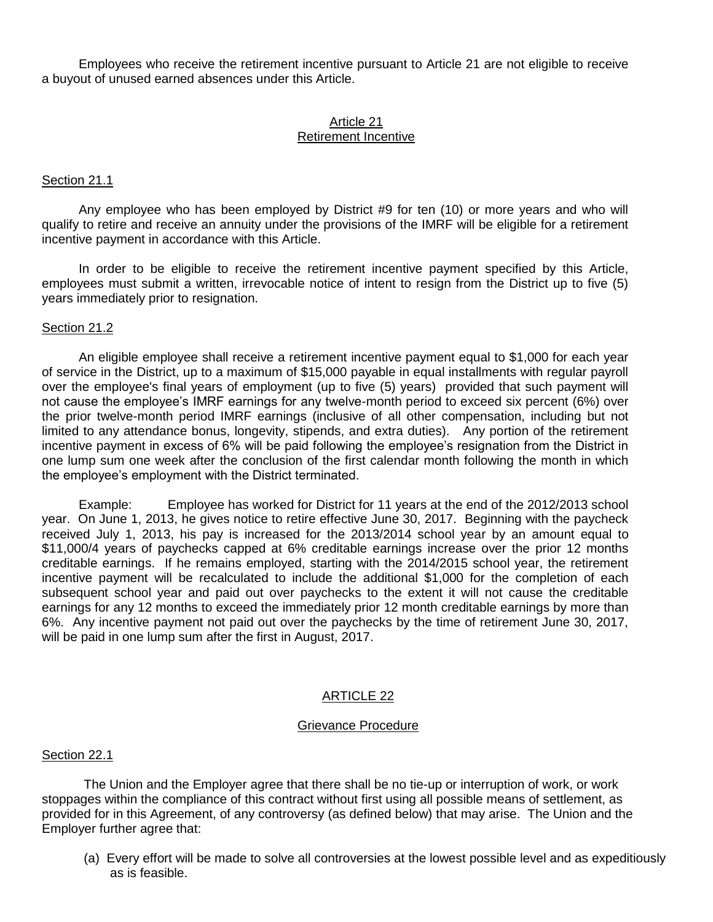Employees who receive the retirement incentive pursuant to Article 21 are not eligible to receive a buyout of unused earned absences under this Article.

# Article 21

# Retirement Incentive

### Section 21.1

Any employee who has been employed by District #9 for ten (10) or more years and who will qualify to retire and receive an annuity under the provisions of the IMRF will be eligible for a retirement incentive payment in accordance with this Article.

In order to be eligible to receive the retirement incentive payment specified by this Article, employees must submit a written, irrevocable notice of intent to resign from the District up to five (5) years immediately prior to resignation.

### Section 21.2

An eligible employee shall receive a retirement incentive payment equal to \$1,000 for each year of service in the District, up to a maximum of \$15,000 payable in equal installments with regular payroll over the employee's final years of employment (up to five (5) years) provided that such payment will not cause the employee's IMRF earnings for any twelve-month period to exceed six percent (6%) over the prior twelve-month period IMRF earnings (inclusive of all other compensation, including but not limited to any attendance bonus, longevity, stipends, and extra duties). Any portion of the retirement incentive payment in excess of 6% will be paid following the employee's resignation from the District in one lump sum one week after the conclusion of the first calendar month following the month in which the employee's employment with the District terminated.

Example: Employee has worked for District for 11 years at the end of the 2012/2013 school year. On June 1, 2013, he gives notice to retire effective June 30, 2017. Beginning with the paycheck received July 1, 2013, his pay is increased for the 2013/2014 school year by an amount equal to \$11,000/4 years of paychecks capped at 6% creditable earnings increase over the prior 12 months creditable earnings. If he remains employed, starting with the 2014/2015 school year, the retirement incentive payment will be recalculated to include the additional \$1,000 for the completion of each subsequent school year and paid out over paychecks to the extent it will not cause the creditable earnings for any 12 months to exceed the immediately prior 12 month creditable earnings by more than 6%. Any incentive payment not paid out over the paychecks by the time of retirement June 30, 2017, will be paid in one lump sum after the first in August, 2017.

# ARTICLE 22

### Grievance Procedure

### Section 22.1

 The Union and the Employer agree that there shall be no tie-up or interruption of work, or work stoppages within the compliance of this contract without first using all possible means of settlement, as provided for in this Agreement, of any controversy (as defined below) that may arise. The Union and the Employer further agree that:

(a) Every effort will be made to solve all controversies at the lowest possible level and as expeditiously as is feasible.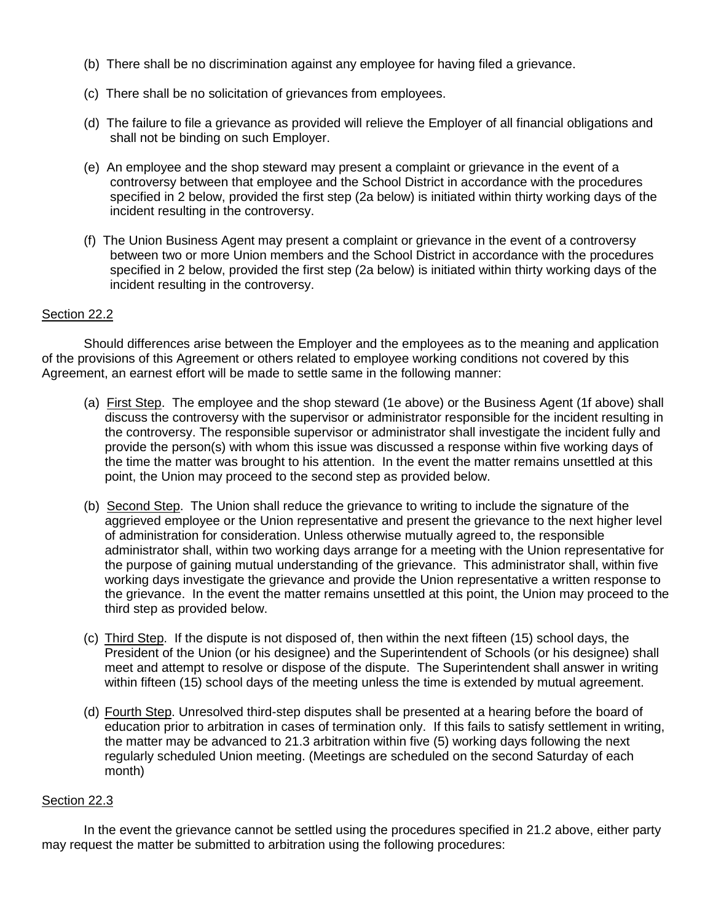- (b) There shall be no discrimination against any employee for having filed a grievance.
- (c) There shall be no solicitation of grievances from employees.
- (d) The failure to file a grievance as provided will relieve the Employer of all financial obligations and shall not be binding on such Employer.
- (e) An employee and the shop steward may present a complaint or grievance in the event of a controversy between that employee and the School District in accordance with the procedures specified in 2 below, provided the first step (2a below) is initiated within thirty working days of the incident resulting in the controversy.
- (f) The Union Business Agent may present a complaint or grievance in the event of a controversy between two or more Union members and the School District in accordance with the procedures specified in 2 below, provided the first step (2a below) is initiated within thirty working days of the incident resulting in the controversy.

### Section 22.2

 Should differences arise between the Employer and the employees as to the meaning and application of the provisions of this Agreement or others related to employee working conditions not covered by this Agreement, an earnest effort will be made to settle same in the following manner:

- (a) First Step. The employee and the shop steward (1e above) or the Business Agent (1f above) shall discuss the controversy with the supervisor or administrator responsible for the incident resulting in the controversy. The responsible supervisor or administrator shall investigate the incident fully and provide the person(s) with whom this issue was discussed a response within five working days of the time the matter was brought to his attention. In the event the matter remains unsettled at this point, the Union may proceed to the second step as provided below.
- (b) Second Step. The Union shall reduce the grievance to writing to include the signature of the aggrieved employee or the Union representative and present the grievance to the next higher level of administration for consideration. Unless otherwise mutually agreed to, the responsible administrator shall, within two working days arrange for a meeting with the Union representative for the purpose of gaining mutual understanding of the grievance. This administrator shall, within five working days investigate the grievance and provide the Union representative a written response to the grievance. In the event the matter remains unsettled at this point, the Union may proceed to the third step as provided below.
- (c) Third Step. If the dispute is not disposed of, then within the next fifteen (15) school days, the President of the Union (or his designee) and the Superintendent of Schools (or his designee) shall meet and attempt to resolve or dispose of the dispute. The Superintendent shall answer in writing within fifteen (15) school days of the meeting unless the time is extended by mutual agreement.
- (d) Fourth Step. Unresolved third-step disputes shall be presented at a hearing before the board of education prior to arbitration in cases of termination only. If this fails to satisfy settlement in writing, the matter may be advanced to 21.3 arbitration within five (5) working days following the next regularly scheduled Union meeting. (Meetings are scheduled on the second Saturday of each month)

### Section 22.3

In the event the grievance cannot be settled using the procedures specified in 21.2 above, either party may request the matter be submitted to arbitration using the following procedures: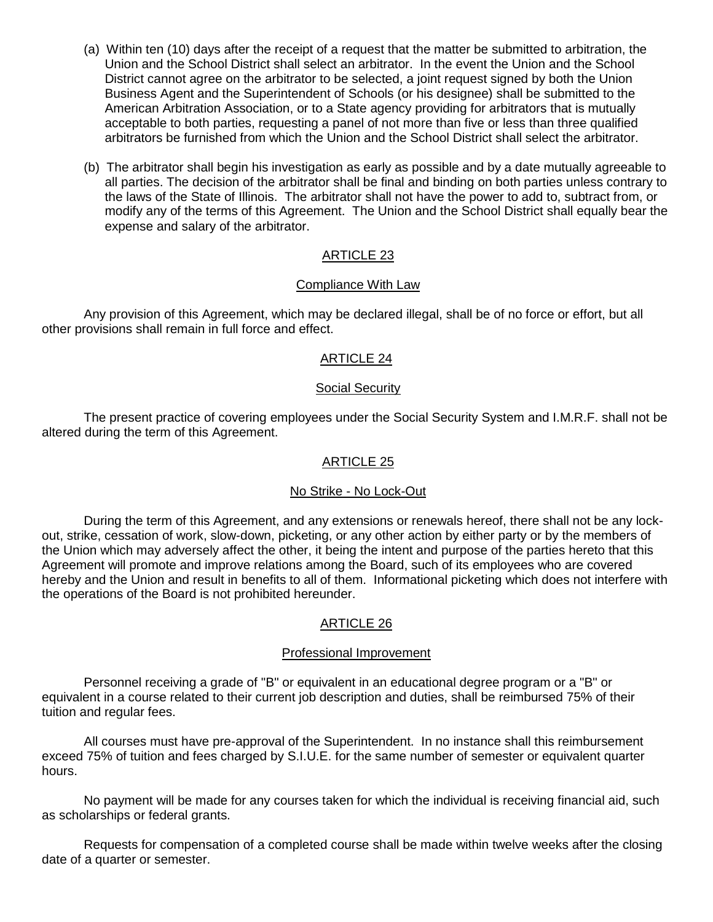- (a) Within ten (10) days after the receipt of a request that the matter be submitted to arbitration, the Union and the School District shall select an arbitrator. In the event the Union and the School District cannot agree on the arbitrator to be selected, a joint request signed by both the Union Business Agent and the Superintendent of Schools (or his designee) shall be submitted to the American Arbitration Association, or to a State agency providing for arbitrators that is mutually acceptable to both parties, requesting a panel of not more than five or less than three qualified arbitrators be furnished from which the Union and the School District shall select the arbitrator.
- (b) The arbitrator shall begin his investigation as early as possible and by a date mutually agreeable to all parties. The decision of the arbitrator shall be final and binding on both parties unless contrary to the laws of the State of Illinois. The arbitrator shall not have the power to add to, subtract from, or modify any of the terms of this Agreement. The Union and the School District shall equally bear the expense and salary of the arbitrator.

# ARTICLE 23

# Compliance With Law

 Any provision of this Agreement, which may be declared illegal, shall be of no force or effort, but all other provisions shall remain in full force and effect.

# ARTICLE 24

# Social Security

 The present practice of covering employees under the Social Security System and I.M.R.F. shall not be altered during the term of this Agreement.

# ARTICLE 25

# No Strike - No Lock-Out

 During the term of this Agreement, and any extensions or renewals hereof, there shall not be any lockout, strike, cessation of work, slow-down, picketing, or any other action by either party or by the members of the Union which may adversely affect the other, it being the intent and purpose of the parties hereto that this Agreement will promote and improve relations among the Board, such of its employees who are covered hereby and the Union and result in benefits to all of them. Informational picketing which does not interfere with the operations of the Board is not prohibited hereunder.

# ARTICLE 26

### Professional Improvement

Personnel receiving a grade of "B" or equivalent in an educational degree program or a "B" or equivalent in a course related to their current job description and duties, shall be reimbursed 75% of their tuition and regular fees.

All courses must have pre-approval of the Superintendent. In no instance shall this reimbursement exceed 75% of tuition and fees charged by S.I.U.E. for the same number of semester or equivalent quarter hours.

No payment will be made for any courses taken for which the individual is receiving financial aid, such as scholarships or federal grants.

Requests for compensation of a completed course shall be made within twelve weeks after the closing date of a quarter or semester.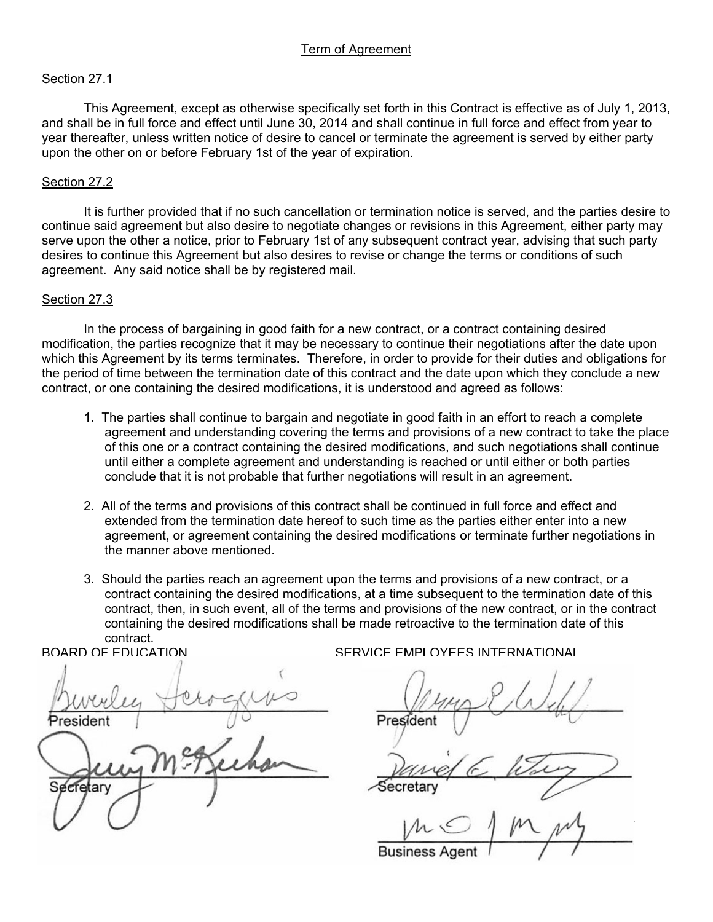# Term of Agreement

### Section 27.1

 This Agreement, except as otherwise specifically set forth in this Contract is effective as of July 1, 2013, and shall be in full force and effect until June 30, 2014 and shall continue in full force and effect from year to year thereafter, unless written notice of desire to cancel or terminate the agreement is served by either party upon the other on or before February 1st of the year of expiration.

#### Section 27.2

 It is further provided that if no such cancellation or termination notice is served, and the parties desire to continue said agreement but also desire to negotiate changes or revisions in this Agreement, either party may serve upon the other a notice, prior to February 1st of any subsequent contract year, advising that such party desires to continue this Agreement but also desires to revise or change the terms or conditions of such agreement. Any said notice shall be by registered mail.

#### Section 27.3

 In the process of bargaining in good faith for a new contract, or a contract containing desired modification, the parties recognize that it may be necessary to continue their negotiations after the date upon which this Agreement by its terms terminates. Therefore, in order to provide for their duties and obligations for the period of time between the termination date of this contract and the date upon which they conclude a new contract, or one containing the desired modifications, it is understood and agreed as follows:

- 1. The parties shall continue to bargain and negotiate in good faith in an effort to reach a complete agreement and understanding covering the terms and provisions of a new contract to take the place of this one or a contract containing the desired modifications, and such negotiations shall continue until either a complete agreement and understanding is reached or until either or both parties conclude that it is not probable that further negotiations will result in an agreement.
- 2. All of the terms and provisions of this contract shall be continued in full force and effect and extended from the termination date hereof to such time as the parties either enter into a new agreement, or agreement containing the desired modifications or terminate further negotiations in the manner above mentioned.
- 3. Should the parties reach an agreement upon the terms and provisions of a new contract, or a contract containing the desired modifications, at a time subsequent to the termination date of this contract, then, in such event, all of the terms and provisions of the new contract, or in the contract containing the desired modifications shall be made retroactive to the termination date of this contract.

 $\overline{a}$  $P$ ֖֖֚֚֕֞ ecretary Secretary

BOARD OF EDUCATION SERVICE EMPLOYEES INTERNATIONAL

 $\overline{\phantom{a}}$ 

 $\ldots$   $\ldots$   $\ldots$  $\mu$ **Business Agent**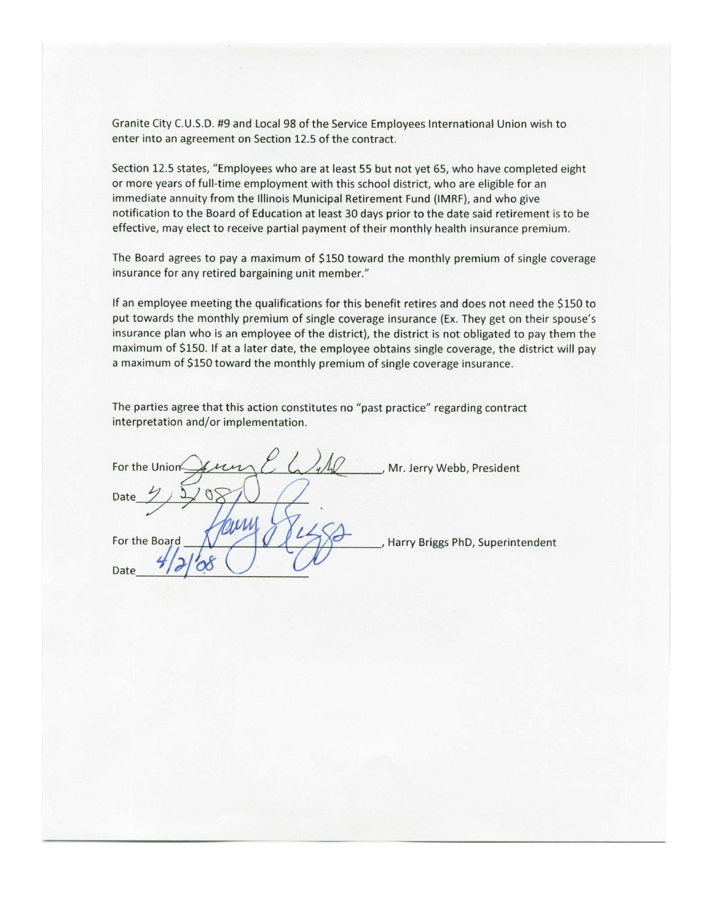Granite City C.U.S.D. #9 and Local 98 of the Service Employees International Union wish to enter into an agreement on Section 12.5 of the contract.

Section 12.5 states, "Employees who are at least 55 but not yet 65, who have completed eight or more years of full-time employment with this school district, who are eligible for an immediate annuity from the Illinois Municipal Retirement Fund (IMRF), and who give notification to the Board of Education at least 30 days prior to the date said retirement is to be effective, may elect to receive partial payment of their monthly health insurance premium.

The Board agrees to pay a maximum of \$150 toward the monthly premium of single coverage insurance for any retired bargaining unit member."

If an employee meeting the qualifications for this benefit retires and does not need the \$150 to put towards the monthly premium of single coverage insurance (Ex. They get on their spouse's insurance plan who is an employee of the district), the district is not obligated to pay them the maximum of \$150. If at a later date, the employee obtains single coverage, the district will pay a maximum of \$150 toward the monthly premium of single coverage insurance.

The parties agree that this action constitutes no "past practice" regarding contract interpretation and/or implementation.

For the Union , Mr. Jerry Webb, President Date For the Board Harry Briggs PhD, Superintendent Date